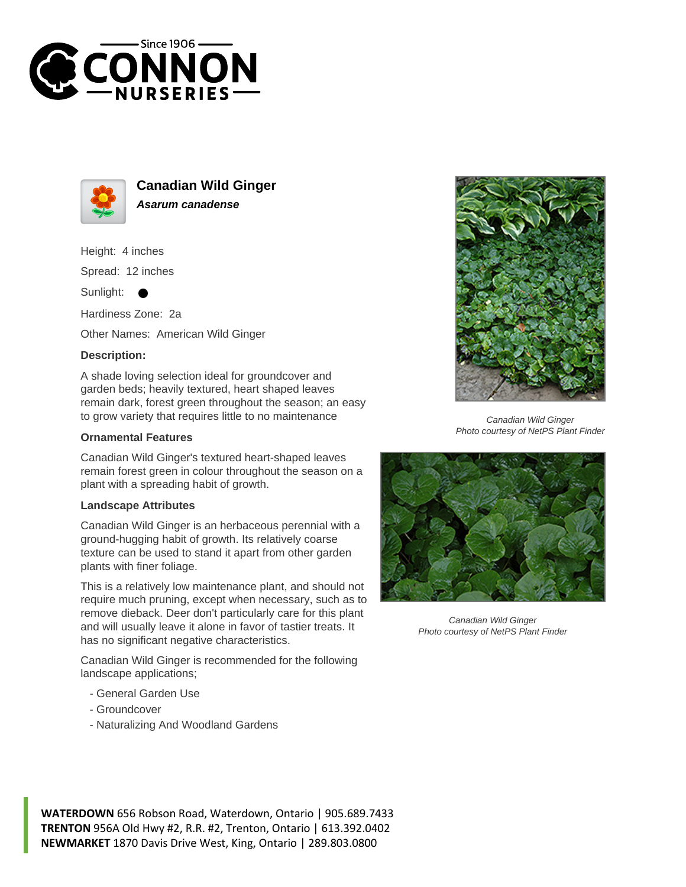



**Canadian Wild Ginger Asarum canadense**

Height: 4 inches

Spread: 12 inches

Sunlight:

Hardiness Zone: 2a

Other Names: American Wild Ginger

## **Description:**

A shade loving selection ideal for groundcover and garden beds; heavily textured, heart shaped leaves remain dark, forest green throughout the season; an easy to grow variety that requires little to no maintenance

## **Ornamental Features**

Canadian Wild Ginger's textured heart-shaped leaves remain forest green in colour throughout the season on a plant with a spreading habit of growth.

## **Landscape Attributes**

Canadian Wild Ginger is an herbaceous perennial with a ground-hugging habit of growth. Its relatively coarse texture can be used to stand it apart from other garden plants with finer foliage.

This is a relatively low maintenance plant, and should not require much pruning, except when necessary, such as to remove dieback. Deer don't particularly care for this plant and will usually leave it alone in favor of tastier treats. It has no significant negative characteristics.

Canadian Wild Ginger is recommended for the following landscape applications;

- General Garden Use
- Groundcover
- Naturalizing And Woodland Gardens



Canadian Wild Ginger Photo courtesy of NetPS Plant Finder



Canadian Wild Ginger Photo courtesy of NetPS Plant Finder

**WATERDOWN** 656 Robson Road, Waterdown, Ontario | 905.689.7433 **TRENTON** 956A Old Hwy #2, R.R. #2, Trenton, Ontario | 613.392.0402 **NEWMARKET** 1870 Davis Drive West, King, Ontario | 289.803.0800